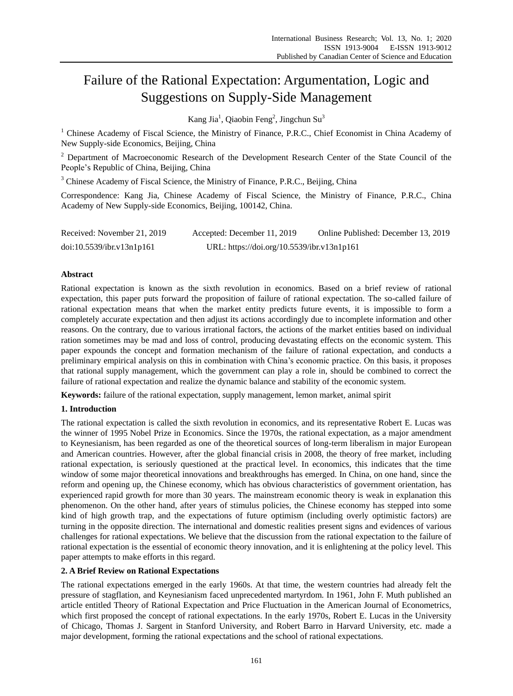# Failure of the Rational Expectation: Argumentation, Logic and Suggestions on Supply-Side Management

Kang Jia<sup>1</sup>, Qiaobin Feng<sup>2</sup>, Jingchun Su<sup>3</sup>

<sup>1</sup> Chinese Academy of Fiscal Science, the Ministry of Finance, P.R.C., Chief Economist in China Academy of New Supply-side Economics, Beijing, China

<sup>2</sup> Department of Macroeconomic Research of the Development Research Center of the State Council of the People's Republic of China, Beijing, China

<sup>3</sup> Chinese Academy of Fiscal Science, the Ministry of Finance, P.R.C., Beijing, China

Correspondence: Kang Jia, Chinese Academy of Fiscal Science, the Ministry of Finance, P.R.C., China Academy of New Supply-side Economics, Beijing, 100142, China.

| Received: November 21, 2019 | Accepted: December 11, 2019                | Online Published: December 13, 2019 |
|-----------------------------|--------------------------------------------|-------------------------------------|
| doi:10.5539/ibr.v13n1p161   | URL: https://doi.org/10.5539/ibr.v13n1p161 |                                     |

# **Abstract**

Rational expectation is known as the sixth revolution in economics. Based on a brief review of rational expectation, this paper puts forward the proposition of failure of rational expectation. The so-called failure of rational expectation means that when the market entity predicts future events, it is impossible to form a completely accurate expectation and then adjust its actions accordingly due to incomplete information and other reasons. On the contrary, due to various irrational factors, the actions of the market entities based on individual ration sometimes may be mad and loss of control, producing devastating effects on the economic system. This paper expounds the concept and formation mechanism of the failure of rational expectation, and conducts a preliminary empirical analysis on this in combination with China's economic practice. On this basis, it proposes that rational supply management, which the government can play a role in, should be combined to correct the failure of rational expectation and realize the dynamic balance and stability of the economic system.

**Keywords:** failure of the rational expectation, supply management, lemon market, animal spirit

# **1. Introduction**

The rational expectation is called the sixth revolution in economics, and its representative Robert E. Lucas was the winner of 1995 Nobel Prize in Economics. Since the 1970s, the rational expectation, as a major amendment to Keynesianism, has been regarded as one of the theoretical sources of long-term liberalism in major European and American countries. However, after the global financial crisis in 2008, the theory of free market, including rational expectation, is seriously questioned at the practical level. In economics, this indicates that the time window of some major theoretical innovations and breakthroughs has emerged. In China, on one hand, since the reform and opening up, the Chinese economy, which has obvious characteristics of government orientation, has experienced rapid growth for more than 30 years. The mainstream economic theory is weak in explanation this phenomenon. On the other hand, after years of stimulus policies, the Chinese economy has stepped into some kind of high growth trap, and the expectations of future optimism (including overly optimistic factors) are turning in the opposite direction. The international and domestic realities present signs and evidences of various challenges for rational expectations. We believe that the discussion from the rational expectation to the failure of rational expectation is the essential of economic theory innovation, and it is enlightening at the policy level. This paper attempts to make efforts in this regard.

# **2. A Brief Review on Rational Expectations**

The rational expectations emerged in the early 1960s. At that time, the western countries had already felt the pressure of stagflation, and Keynesianism faced unprecedented martyrdom. In 1961, John F. Muth published an article entitled Theory of Rational Expectation and Price Fluctuation in the American Journal of Econometrics, which first proposed the concept of rational expectations. In the early 1970s, Robert E. Lucas in the University of Chicago, Thomas J. Sargent in Stanford University, and Robert Barro in Harvard University, etc. made a major development, forming the rational expectations and the school of rational expectations.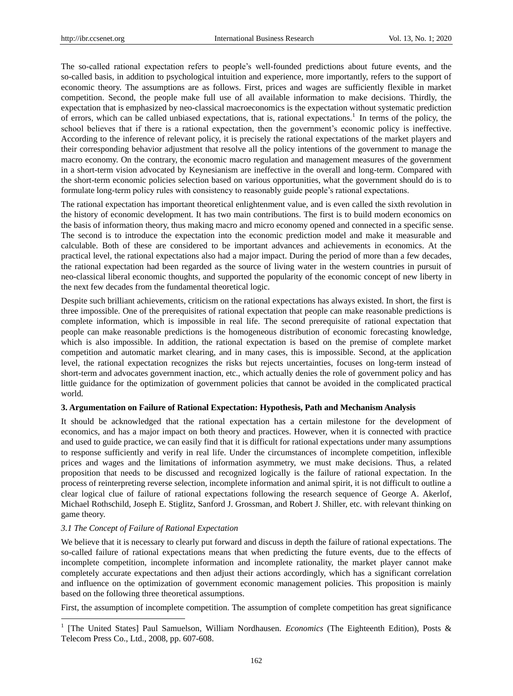The so-called rational expectation refers to people's well-founded predictions about future events, and the so-called basis, in addition to psychological intuition and experience, more importantly, refers to the support of economic theory. The assumptions are as follows. First, prices and wages are sufficiently flexible in market competition. Second, the people make full use of all available information to make decisions. Thirdly, the expectation that is emphasized by neo-classical macroeconomics is the expectation without systematic prediction of errors, which can be called unbiased expectations, that is, rational expectations.<sup>1</sup> In terms of the policy, the school believes that if there is a rational expectation, then the government's economic policy is ineffective. According to the inference of relevant policy, it is precisely the rational expectations of the market players and their corresponding behavior adjustment that resolve all the policy intentions of the government to manage the macro economy. On the contrary, the economic macro regulation and management measures of the government in a short-term vision advocated by Keynesianism are ineffective in the overall and long-term. Compared with the short-term economic policies selection based on various opportunities, what the government should do is to formulate long-term policy rules with consistency to reasonably guide people's rational expectations.

The rational expectation has important theoretical enlightenment value, and is even called the sixth revolution in the history of economic development. It has two main contributions. The first is to build modern economics on the basis of information theory, thus making macro and micro economy opened and connected in a specific sense. The second is to introduce the expectation into the economic prediction model and make it measurable and calculable. Both of these are considered to be important advances and achievements in economics. At the practical level, the rational expectations also had a major impact. During the period of more than a few decades, the rational expectation had been regarded as the source of living water in the western countries in pursuit of neo-classical liberal economic thoughts, and supported the popularity of the economic concept of new liberty in the next few decades from the fundamental theoretical logic.

Despite such brilliant achievements, criticism on the rational expectations has always existed. In short, the first is three impossible. One of the prerequisites of rational expectation that people can make reasonable predictions is complete information, which is impossible in real life. The second prerequisite of rational expectation that people can make reasonable predictions is the homogeneous distribution of economic forecasting knowledge, which is also impossible. In addition, the rational expectation is based on the premise of complete market competition and automatic market clearing, and in many cases, this is impossible. Second, at the application level, the rational expectation recognizes the risks but rejects uncertainties, focuses on long-term instead of short-term and advocates government inaction, etc., which actually denies the role of government policy and has little guidance for the optimization of government policies that cannot be avoided in the complicated practical world.

#### **3. Argumentation on Failure of Rational Expectation: Hypothesis, Path and Mechanism Analysis**

It should be acknowledged that the rational expectation has a certain milestone for the development of economics, and has a major impact on both theory and practices. However, when it is connected with practice and used to guide practice, we can easily find that it is difficult for rational expectations under many assumptions to response sufficiently and verify in real life. Under the circumstances of incomplete competition, inflexible prices and wages and the limitations of information asymmetry, we must make decisions. Thus, a related proposition that needs to be discussed and recognized logically is the failure of rational expectation. In the process of reinterpreting reverse selection, incomplete information and animal spirit, it is not difficult to outline a clear logical clue of failure of rational expectations following the research sequence of George A. Akerlof, Michael Rothschild, Joseph E. Stiglitz, Sanford J. Grossman, and Robert J. Shiller, etc. with relevant thinking on game theory.

## *3.1 The Concept of Failure of Rational Expectation*

-

We believe that it is necessary to clearly put forward and discuss in depth the failure of rational expectations. The so-called failure of rational expectations means that when predicting the future events, due to the effects of incomplete competition, incomplete information and incomplete rationality, the market player cannot make completely accurate expectations and then adjust their actions accordingly, which has a significant correlation and influence on the optimization of government economic management policies. This proposition is mainly based on the following three theoretical assumptions.

First, the assumption of incomplete competition. The assumption of complete competition has great significance

<sup>&</sup>lt;sup>1</sup> [The United States] Paul Samuelson, William Nordhausen. *Economics* (The Eighteenth Edition), Posts & Telecom Press Co., Ltd., 2008, pp. 607-608.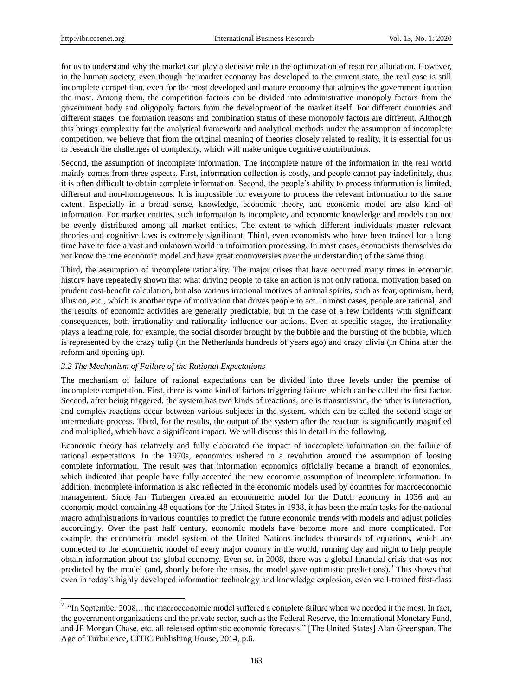-

for us to understand why the market can play a decisive role in the optimization of resource allocation. However, in the human society, even though the market economy has developed to the current state, the real case is still incomplete competition, even for the most developed and mature economy that admires the government inaction the most. Among them, the competition factors can be divided into administrative monopoly factors from the government body and oligopoly factors from the development of the market itself. For different countries and different stages, the formation reasons and combination status of these monopoly factors are different. Although this brings complexity for the analytical framework and analytical methods under the assumption of incomplete competition, we believe that from the original meaning of theories closely related to reality, it is essential for us to research the challenges of complexity, which will make unique cognitive contributions.

Second, the assumption of incomplete information. The incomplete nature of the information in the real world mainly comes from three aspects. First, information collection is costly, and people cannot pay indefinitely, thus it is often difficult to obtain complete information. Second, the people's ability to process information is limited, different and non-homogeneous. It is impossible for everyone to process the relevant information to the same extent. Especially in a broad sense, knowledge, economic theory, and economic model are also kind of information. For market entities, such information is incomplete, and economic knowledge and models can not be evenly distributed among all market entities. The extent to which different individuals master relevant theories and cognitive laws is extremely significant. Third, even economists who have been trained for a long time have to face a vast and unknown world in information processing. In most cases, economists themselves do not know the true economic model and have great controversies over the understanding of the same thing.

Third, the assumption of incomplete rationality. The major crises that have occurred many times in economic history have repeatedly shown that what driving people to take an action is not only rational motivation based on prudent cost-benefit calculation, but also various irrational motives of animal spirits, such as fear, optimism, herd, illusion, etc., which is another type of motivation that drives people to act. In most cases, people are rational, and the results of economic activities are generally predictable, but in the case of a few incidents with significant consequences, both irrationality and rationality influence our actions. Even at specific stages, the irrationality plays a leading role, for example, the social disorder brought by the bubble and the bursting of the bubble, which is represented by the crazy tulip (in the Netherlands hundreds of years ago) and crazy clivia (in China after the reform and opening up).

#### *3.2 The Mechanism of Failure of the Rational Expectations*

The mechanism of failure of rational expectations can be divided into three levels under the premise of incomplete competition. First, there is some kind of factors triggering failure, which can be called the first factor. Second, after being triggered, the system has two kinds of reactions, one is transmission, the other is interaction, and complex reactions occur between various subjects in the system, which can be called the second stage or intermediate process. Third, for the results, the output of the system after the reaction is significantly magnified and multiplied, which have a significant impact. We will discuss this in detail in the following.

Economic theory has relatively and fully elaborated the impact of incomplete information on the failure of rational expectations. In the 1970s, economics ushered in a revolution around the assumption of loosing complete information. The result was that information economics officially became a branch of economics, which indicated that people have fully accepted the new economic assumption of incomplete information. In addition, incomplete information is also reflected in the economic models used by countries for macroeconomic management. Since Jan Tinbergen created an econometric model for the Dutch economy in 1936 and an economic model containing 48 equations for the United States in 1938, it has been the main tasks for the national macro administrations in various countries to predict the future economic trends with models and adjust policies accordingly. Over the past half century, economic models have become more and more complicated. For example, the econometric model system of the United Nations includes thousands of equations, which are connected to the econometric model of every major country in the world, running day and night to help people obtain information about the global economy. Even so, in 2008, there was a global financial crisis that was not predicted by the model (and, shortly before the crisis, the model gave optimistic predictions).<sup>2</sup> This shows that even in today's highly developed information technology and knowledge explosion, even well-trained first-class

 $2$  "In September 2008... the macroeconomic model suffered a complete failure when we needed it the most. In fact, the government organizations and the private sector, such as the Federal Reserve, the International Monetary Fund, and JP Morgan Chase, etc. all released optimistic economic forecasts." [The United States] Alan Greenspan. The Age of Turbulence, CITIC Publishing House, 2014, p.6.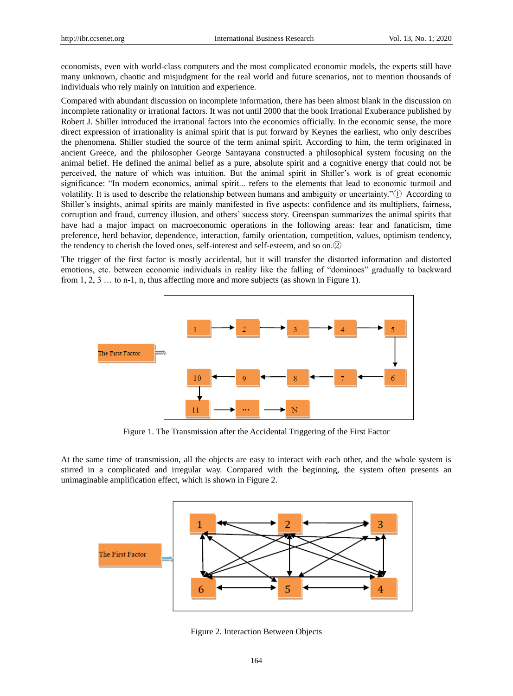economists, even with world-class computers and the most complicated economic models, the experts still have many unknown, chaotic and misjudgment for the real world and future scenarios, not to mention thousands of individuals who rely mainly on intuition and experience.

Compared with abundant discussion on incomplete information, there has been almost blank in the discussion on incomplete rationality or irrational factors. It was not until 2000 that the book Irrational Exuberance published by Robert J. Shiller introduced the irrational factors into the economics officially. In the economic sense, the more direct expression of irrationality is animal spirit that is put forward by Keynes the earliest, who only describes the phenomena. Shiller studied the source of the term animal spirit. According to him, the term originated in ancient Greece, and the philosopher George Santayana constructed a philosophical system focusing on the animal belief. He defined the animal belief as a pure, absolute spirit and a cognitive energy that could not be perceived, the nature of which was intuition. But the animal spirit in Shiller's work is of great economic significance: "In modern economics, animal spirit... refers to the elements that lead to economic turmoil and volatility. It is used to describe the relationship between humans and ambiguity or uncertainty."① According to Shiller's insights, animal spirits are mainly manifested in five aspects: confidence and its multipliers, fairness, corruption and fraud, currency illusion, and others' success story. Greenspan summarizes the animal spirits that have had a major impact on macroeconomic operations in the following areas: fear and fanaticism, time preference, herd behavior, dependence, interaction, family orientation, competition, values, optimism tendency, the tendency to cherish the loved ones, self-interest and self-esteem, and so on.②

The trigger of the first factor is mostly accidental, but it will transfer the distorted information and distorted emotions, etc. between economic individuals in reality like the falling of "dominoes" gradually to backward from 1, 2, 3 … to n-1, n, thus affecting more and more subjects (as shown in Figure 1).



Figure 1. The Transmission after the Accidental Triggering of the First Factor

At the same time of transmission, all the objects are easy to interact with each other, and the whole system is stirred in a complicated and irregular way. Compared with the beginning, the system often presents an unimaginable amplification effect, which is shown in Figure 2.



Figure 2. Interaction Between Objects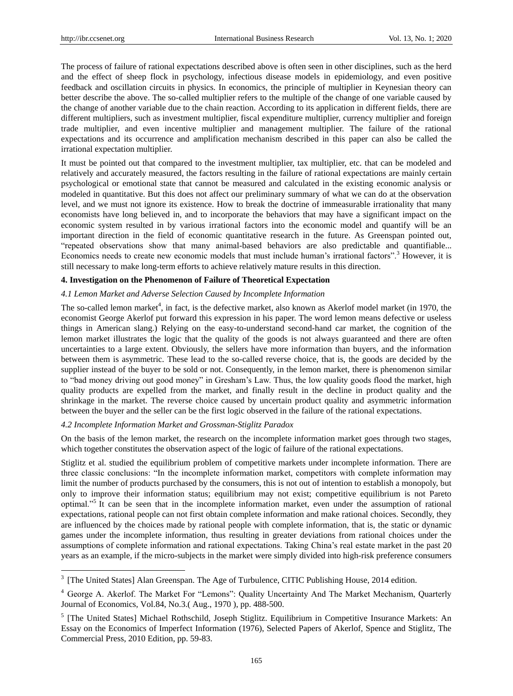-

The process of failure of rational expectations described above is often seen in other disciplines, such as the herd and the effect of sheep flock in psychology, infectious disease models in epidemiology, and even positive feedback and oscillation circuits in physics. In economics, the principle of multiplier in Keynesian theory can better describe the above. The so-called multiplier refers to the multiple of the change of one variable caused by the change of another variable due to the chain reaction. According to its application in different fields, there are different multipliers, such as investment multiplier, fiscal expenditure multiplier, currency multiplier and foreign trade multiplier, and even incentive multiplier and management multiplier. The failure of the rational expectations and its occurrence and amplification mechanism described in this paper can also be called the irrational expectation multiplier.

It must be pointed out that compared to the investment multiplier, tax multiplier, etc. that can be modeled and relatively and accurately measured, the factors resulting in the failure of rational expectations are mainly certain psychological or emotional state that cannot be measured and calculated in the existing economic analysis or modeled in quantitative. But this does not affect our preliminary summary of what we can do at the observation level, and we must not ignore its existence. How to break the doctrine of immeasurable irrationality that many economists have long believed in, and to incorporate the behaviors that may have a significant impact on the economic system resulted in by various irrational factors into the economic model and quantify will be an important direction in the field of economic quantitative research in the future. As Greenspan pointed out, "repeated observations show that many animal-based behaviors are also predictable and quantifiable... Economics needs to create new economic models that must include human's irrational factors".<sup>3</sup> However, it is still necessary to make long-term efforts to achieve relatively mature results in this direction.

## **4. Investigation on the Phenomenon of Failure of Theoretical Expectation**

## *4.1 Lemon Market and Adverse Selection Caused by Incomplete Information*

The so-called lemon market<sup>4</sup>, in fact, is the defective market, also known as Akerlof model market (in 1970, the economist George Akerlof put forward this expression in his paper. The word lemon means defective or useless things in American slang.) Relying on the easy-to-understand second-hand car market, the cognition of the lemon market illustrates the logic that the quality of the goods is not always guaranteed and there are often uncertainties to a large extent. Obviously, the sellers have more information than buyers, and the information between them is asymmetric. These lead to the so-called reverse choice, that is, the goods are decided by the supplier instead of the buyer to be sold or not. Consequently, in the lemon market, there is phenomenon similar to "bad money driving out good money" in Gresham's Law. Thus, the low quality goods flood the market, high quality products are expelled from the market, and finally result in the decline in product quality and the shrinkage in the market. The reverse choice caused by uncertain product quality and asymmetric information between the buyer and the seller can be the first logic observed in the failure of the rational expectations.

### *4.2 Incomplete Information Market and Grossman-Stiglitz Paradox*

On the basis of the lemon market, the research on the incomplete information market goes through two stages, which together constitutes the observation aspect of the logic of failure of the rational expectations.

Stiglitz et al. studied the equilibrium problem of competitive markets under incomplete information. There are three classic conclusions: "In the incomplete information market, competitors with complete information may limit the number of products purchased by the consumers, this is not out of intention to establish a monopoly, but only to improve their information status; equilibrium may not exist; competitive equilibrium is not Pareto optimal."<sup>5</sup> It can be seen that in the incomplete information market, even under the assumption of rational expectations, rational people can not first obtain complete information and make rational choices. Secondly, they are influenced by the choices made by rational people with complete information, that is, the static or dynamic games under the incomplete information, thus resulting in greater deviations from rational choices under the assumptions of complete information and rational expectations. Taking China's real estate market in the past 20 years as an example, if the micro-subjects in the market were simply divided into high-risk preference consumers

<sup>&</sup>lt;sup>3</sup> [The United States] Alan Greenspan. The Age of Turbulence, CITIC Publishing House, 2014 edition.

<sup>4</sup> George A. Akerlof. The Market For "Lemons": Quality Uncertainty And The Market Mechanism, Quarterly Journal of Economics, Vol.84, No.3.( Aug., 1970 ), pp. 488-500.

<sup>&</sup>lt;sup>5</sup> [The United States] Michael Rothschild, Joseph Stiglitz. Equilibrium in Competitive Insurance Markets: An Essay on the Economics of Imperfect Information (1976), Selected Papers of Akerlof, Spence and Stiglitz, The Commercial Press, 2010 Edition, pp. 59-83.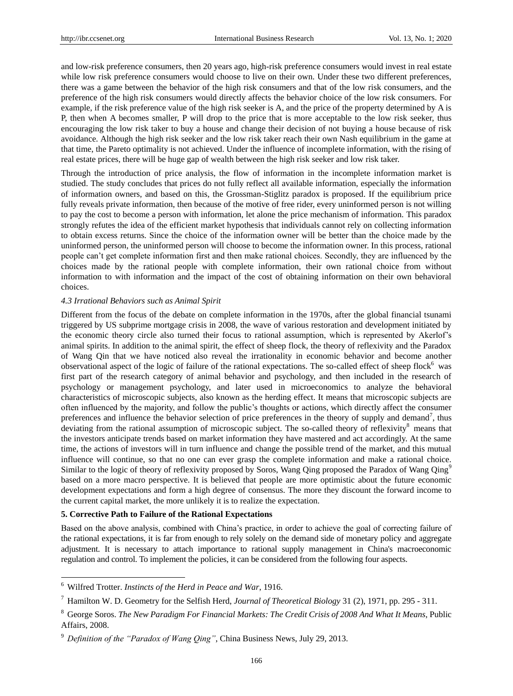and low-risk preference consumers, then 20 years ago, high-risk preference consumers would invest in real estate while low risk preference consumers would choose to live on their own. Under these two different preferences, there was a game between the behavior of the high risk consumers and that of the low risk consumers, and the preference of the high risk consumers would directly affects the behavior choice of the low risk consumers. For example, if the risk preference value of the high risk seeker is A, and the price of the property determined by A is P, then when A becomes smaller, P will drop to the price that is more acceptable to the low risk seeker, thus encouraging the low risk taker to buy a house and change their decision of not buying a house because of risk avoidance. Although the high risk seeker and the low risk taker reach their own Nash equilibrium in the game at that time, the Pareto optimality is not achieved. Under the influence of incomplete information, with the rising of real estate prices, there will be huge gap of wealth between the high risk seeker and low risk taker.

Through the introduction of price analysis, the flow of information in the incomplete information market is studied. The study concludes that prices do not fully reflect all available information, especially the information of information owners, and based on this, the Grossman-Stiglitz paradox is proposed. If the equilibrium price fully reveals private information, then because of the motive of free rider, every uninformed person is not willing to pay the cost to become a person with information, let alone the price mechanism of information. This paradox strongly refutes the idea of the efficient market hypothesis that individuals cannot rely on collecting information to obtain excess returns. Since the choice of the information owner will be better than the choice made by the uninformed person, the uninformed person will choose to become the information owner. In this process, rational people can't get complete information first and then make rational choices. Secondly, they are influenced by the choices made by the rational people with complete information, their own rational choice from without information to with information and the impact of the cost of obtaining information on their own behavioral choices.

## *4.3 Irrational Behaviors such as Animal Spirit*

Different from the focus of the debate on complete information in the 1970s, after the global financial tsunami triggered by US subprime mortgage crisis in 2008, the wave of various restoration and development initiated by the economic theory circle also turned their focus to rational assumption, which is represented by Akerlof's animal spirits. In addition to the animal spirit, the effect of sheep flock, the theory of reflexivity and the Paradox of Wang Qin that we have noticed also reveal the irrationality in economic behavior and become another observational aspect of the logic of failure of the rational expectations. The so-called effect of sheep flock<sup>6</sup> was first part of the research category of animal behavior and psychology, and then included in the research of psychology or management psychology, and later used in microeconomics to analyze the behavioral characteristics of microscopic subjects, also known as the herding effect. It means that microscopic subjects are often influenced by the majority, and follow the public's thoughts or actions, which directly affect the consumer preferences and influence the behavior selection of price preferences in the theory of supply and demand<sup>7</sup>, thus deviating from the rational assumption of microscopic subject. The so-called theory of reflexivity<sup>8</sup> means that the investors anticipate trends based on market information they have mastered and act accordingly. At the same time, the actions of investors will in turn influence and change the possible trend of the market, and this mutual influence will continue, so that no one can ever grasp the complete information and make a rational choice. Similar to the logic of theory of reflexivity proposed by Soros, Wang Qing proposed the Paradox of Wang Qing<sup>9</sup> based on a more macro perspective. It is believed that people are more optimistic about the future economic development expectations and form a high degree of consensus. The more they discount the forward income to the current capital market, the more unlikely it is to realize the expectation.

### **5. Corrective Path to Failure of the Rational Expectations**

Based on the above analysis, combined with China's practice, in order to achieve the goal of correcting failure of the rational expectations, it is far from enough to rely solely on the demand side of monetary policy and aggregate adjustment. It is necessary to attach importance to rational supply management in China's macroeconomic regulation and control. To implement the policies, it can be considered from the following four aspects.

-

<sup>6</sup> Wilfred Trotter. *Instincts of the Herd in Peace and War*, 1916.

<sup>7</sup> Hamilton W. D. Geometry for the Selfish Herd, *Journal of Theoretical Biology* 31 (2), 1971, pp. 295 - 311.

<sup>8</sup> George Soros. *The New Paradigm For Financial Markets: The Credit Crisis of 2008 And What It Means*, Public Affairs, 2008.

<sup>9</sup> *Definition of the "Paradox of Wang Qing"*, China Business News, July 29, 2013.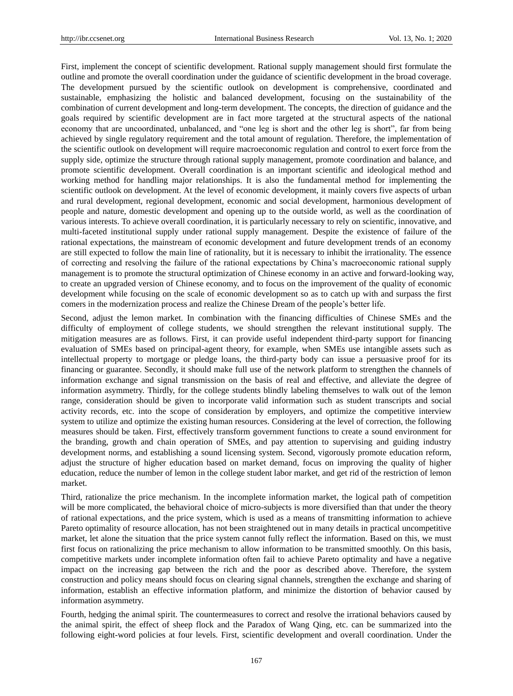First, implement the concept of scientific development. Rational supply management should first formulate the outline and promote the overall coordination under the guidance of scientific development in the broad coverage. The development pursued by the scientific outlook on development is comprehensive, coordinated and sustainable, emphasizing the holistic and balanced development, focusing on the sustainability of the combination of current development and long-term development. The concepts, the direction of guidance and the goals required by scientific development are in fact more targeted at the structural aspects of the national economy that are uncoordinated, unbalanced, and "one leg is short and the other leg is short", far from being achieved by single regulatory requirement and the total amount of regulation. Therefore, the implementation of the scientific outlook on development will require macroeconomic regulation and control to exert force from the supply side, optimize the structure through rational supply management, promote coordination and balance, and promote scientific development. Overall coordination is an important scientific and ideological method and working method for handling major relationships. It is also the fundamental method for implementing the scientific outlook on development. At the level of economic development, it mainly covers five aspects of urban and rural development, regional development, economic and social development, harmonious development of people and nature, domestic development and opening up to the outside world, as well as the coordination of various interests. To achieve overall coordination, it is particularly necessary to rely on scientific, innovative, and multi-faceted institutional supply under rational supply management. Despite the existence of failure of the rational expectations, the mainstream of economic development and future development trends of an economy are still expected to follow the main line of rationality, but it is necessary to inhibit the irrationality. The essence of correcting and resolving the failure of the rational expectations by China's macroeconomic rational supply management is to promote the structural optimization of Chinese economy in an active and forward-looking way, to create an upgraded version of Chinese economy, and to focus on the improvement of the quality of economic development while focusing on the scale of economic development so as to catch up with and surpass the first comers in the modernization process and realize the Chinese Dream of the people's better life.

Second, adjust the lemon market. In combination with the financing difficulties of Chinese SMEs and the difficulty of employment of college students, we should strengthen the relevant institutional supply. The mitigation measures are as follows. First, it can provide useful independent third-party support for financing evaluation of SMEs based on principal-agent theory, for example, when SMEs use intangible assets such as intellectual property to mortgage or pledge loans, the third-party body can issue a persuasive proof for its financing or guarantee. Secondly, it should make full use of the network platform to strengthen the channels of information exchange and signal transmission on the basis of real and effective, and alleviate the degree of information asymmetry. Thirdly, for the college students blindly labeling themselves to walk out of the lemon range, consideration should be given to incorporate valid information such as student transcripts and social activity records, etc. into the scope of consideration by employers, and optimize the competitive interview system to utilize and optimize the existing human resources. Considering at the level of correction, the following measures should be taken. First, effectively transform government functions to create a sound environment for the branding, growth and chain operation of SMEs, and pay attention to supervising and guiding industry development norms, and establishing a sound licensing system. Second, vigorously promote education reform, adjust the structure of higher education based on market demand, focus on improving the quality of higher education, reduce the number of lemon in the college student labor market, and get rid of the restriction of lemon market.

Third, rationalize the price mechanism. In the incomplete information market, the logical path of competition will be more complicated, the behavioral choice of micro-subjects is more diversified than that under the theory of rational expectations, and the price system, which is used as a means of transmitting information to achieve Pareto optimality of resource allocation, has not been straightened out in many details in practical uncompetitive market, let alone the situation that the price system cannot fully reflect the information. Based on this, we must first focus on rationalizing the price mechanism to allow information to be transmitted smoothly. On this basis, competitive markets under incomplete information often fail to achieve Pareto optimality and have a negative impact on the increasing gap between the rich and the poor as described above. Therefore, the system construction and policy means should focus on clearing signal channels, strengthen the exchange and sharing of information, establish an effective information platform, and minimize the distortion of behavior caused by information asymmetry.

Fourth, hedging the animal spirit. The countermeasures to correct and resolve the irrational behaviors caused by the animal spirit, the effect of sheep flock and the Paradox of Wang Qing, etc. can be summarized into the following eight-word policies at four levels. First, scientific development and overall coordination. Under the